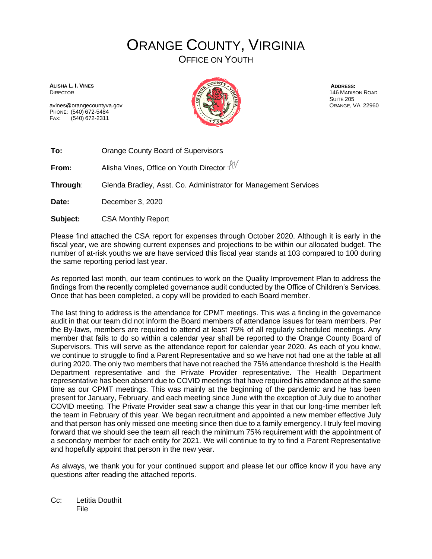## ORANGE COUNTY, VIRGINIA OFFICE ON YOUTH

**ALISHA L. I. VINES DIRECTOR** 

avines@orangecountyva.gov PHONE: (540) 672-5484 FAX: (540) 672-2311



**ADDRESS:** 146 MADISON ROAD **SUITE 205** ORANGE, VA 22960

**To:** Orange County Board of Supervisors

**From:** Alisha Vines, Office on Youth Director  $\sqrt[3]{\sqrt{}}$ 

**Through**: Glenda Bradley, Asst. Co. Administrator for Management Services

**Date:** December 3, 2020

**Subject:** CSA Monthly Report

Please find attached the CSA report for expenses through October 2020. Although it is early in the fiscal year, we are showing current expenses and projections to be within our allocated budget. The number of at-risk youths we are have serviced this fiscal year stands at 103 compared to 100 during the same reporting period last year.

As reported last month, our team continues to work on the Quality Improvement Plan to address the findings from the recently completed governance audit conducted by the Office of Children's Services. Once that has been completed, a copy will be provided to each Board member.

The last thing to address is the attendance for CPMT meetings. This was a finding in the governance audit in that our team did not inform the Board members of attendance issues for team members. Per the By-laws, members are required to attend at least 75% of all regularly scheduled meetings. Any member that fails to do so within a calendar year shall be reported to the Orange County Board of Supervisors. This will serve as the attendance report for calendar year 2020. As each of you know, we continue to struggle to find a Parent Representative and so we have not had one at the table at all during 2020. The only two members that have not reached the 75% attendance threshold is the Health Department representative and the Private Provider representative. The Health Department representative has been absent due to COVID meetings that have required his attendance at the same time as our CPMT meetings. This was mainly at the beginning of the pandemic and he has been present for January, February, and each meeting since June with the exception of July due to another COVID meeting. The Private Provider seat saw a change this year in that our long-time member left the team in February of this year. We began recruitment and appointed a new member effective July and that person has only missed one meeting since then due to a family emergency. I truly feel moving forward that we should see the team all reach the minimum 75% requirement with the appointment of a secondary member for each entity for 2021. We will continue to try to find a Parent Representative and hopefully appoint that person in the new year.

As always, we thank you for your continued support and please let our office know if you have any questions after reading the attached reports.

Cc: Letitia Douthit File